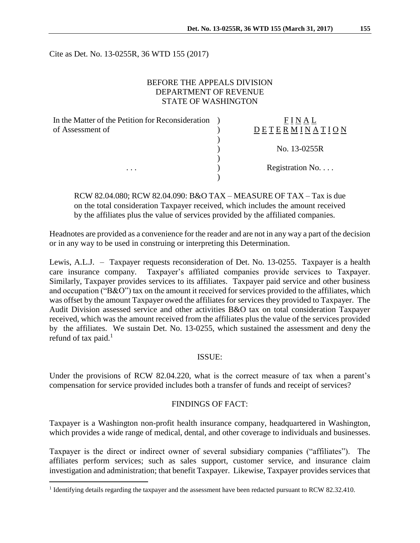Cite as Det. No. 13-0255R, 36 WTD 155 (2017)

### BEFORE THE APPEALS DIVISION DEPARTMENT OF REVENUE STATE OF WASHINGTON

| In the Matter of the Petition for Reconsideration |                  |
|---------------------------------------------------|------------------|
| of Assessment of                                  | DETERMINATION    |
|                                                   |                  |
|                                                   | No. 13-0255R     |
|                                                   |                  |
| $\cdots$                                          | Registration No. |
|                                                   |                  |

RCW 82.04.080; RCW 82.04.090: B&O TAX – MEASURE OF TAX – Tax is due on the total consideration Taxpayer received, which includes the amount received by the affiliates plus the value of services provided by the affiliated companies.

Headnotes are provided as a convenience for the reader and are not in any way a part of the decision or in any way to be used in construing or interpreting this Determination.

Lewis, A.L.J. – Taxpayer requests reconsideration of Det. No. 13-0255. Taxpayer is a health care insurance company. Taxpayer's affiliated companies provide services to Taxpayer. Similarly, Taxpayer provides services to its affiliates. Taxpayer paid service and other business and occupation ("B&O") tax on the amount it received for services provided to the affiliates, which was offset by the amount Taxpayer owed the affiliates for services they provided to Taxpayer. The Audit Division assessed service and other activities B&O tax on total consideration Taxpayer received, which was the amount received from the affiliates plus the value of the services provided by the affiliates. We sustain Det. No. 13-0255, which sustained the assessment and deny the refund of tax paid. $<sup>1</sup>$ </sup>

#### ISSUE:

Under the provisions of RCW 82.04.220, what is the correct measure of tax when a parent's compensation for service provided includes both a transfer of funds and receipt of services?

#### FINDINGS OF FACT:

Taxpayer is a Washington non-profit health insurance company, headquartered in Washington, which provides a wide range of medical, dental, and other coverage to individuals and businesses.

Taxpayer is the direct or indirect owner of several subsidiary companies ("affiliates"). The affiliates perform services; such as sales support, customer service, and insurance claim investigation and administration; that benefit Taxpayer. Likewise, Taxpayer provides services that

 $\overline{a}$ 

<sup>&</sup>lt;sup>1</sup> Identifying details regarding the taxpayer and the assessment have been redacted pursuant to RCW 82.32.410.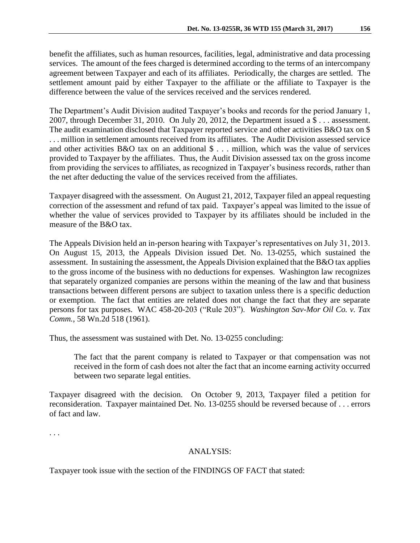benefit the affiliates, such as human resources, facilities, legal, administrative and data processing services. The amount of the fees charged is determined according to the terms of an intercompany agreement between Taxpayer and each of its affiliates. Periodically, the charges are settled. The settlement amount paid by either Taxpayer to the affiliate or the affiliate to Taxpayer is the difference between the value of the services received and the services rendered.

The Department's Audit Division audited Taxpayer's books and records for the period January 1, 2007, through December 31, 2010. On July 20, 2012, the Department issued a \$ . . . assessment. The audit examination disclosed that Taxpayer reported service and other activities B&O tax on \$ . . . million in settlement amounts received from its affiliates. The Audit Division assessed service and other activities  $B\&O$  tax on an additional  $\$\ldots\$  million, which was the value of services provided to Taxpayer by the affiliates. Thus, the Audit Division assessed tax on the gross income from providing the services to affiliates, as recognized in Taxpayer's business records, rather than the net after deducting the value of the services received from the affiliates.

Taxpayer disagreed with the assessment. On August 21, 2012, Taxpayer filed an appeal requesting correction of the assessment and refund of tax paid. Taxpayer's appeal was limited to the issue of whether the value of services provided to Taxpayer by its affiliates should be included in the measure of the B&O tax.

The Appeals Division held an in-person hearing with Taxpayer's representatives on July 31, 2013. On August 15, 2013, the Appeals Division issued Det. No. 13-0255, which sustained the assessment. In sustaining the assessment, the Appeals Division explained that the B&O tax applies to the gross income of the business with no deductions for expenses. Washington law recognizes that separately organized companies are persons within the meaning of the law and that business transactions between different persons are subject to taxation unless there is a specific deduction or exemption. The fact that entities are related does not change the fact that they are separate persons for tax purposes. WAC 458-20-203 ("Rule 203"). *Washington Sav-Mor Oil Co. v. Tax Comm.*, 58 Wn.2d 518 (1961).

Thus, the assessment was sustained with Det. No. 13-0255 concluding:

The fact that the parent company is related to Taxpayer or that compensation was not received in the form of cash does not alter the fact that an income earning activity occurred between two separate legal entities.

Taxpayer disagreed with the decision. On October 9, 2013, Taxpayer filed a petition for reconsideration. Taxpayer maintained Det. No. 13-0255 should be reversed because of . . . errors of fact and law.

. . .

# ANALYSIS:

Taxpayer took issue with the section of the FINDINGS OF FACT that stated: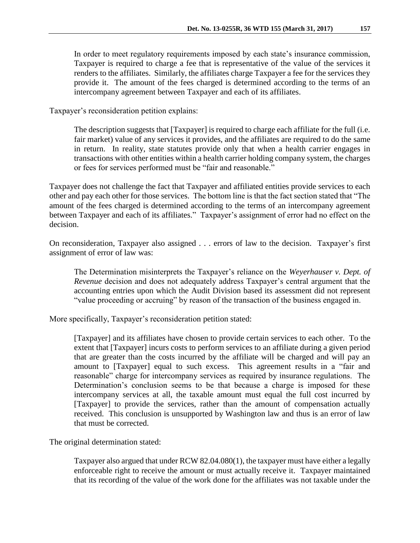In order to meet regulatory requirements imposed by each state's insurance commission, Taxpayer is required to charge a fee that is representative of the value of the services it renders to the affiliates. Similarly, the affiliates charge Taxpayer a fee for the services they provide it. The amount of the fees charged is determined according to the terms of an intercompany agreement between Taxpayer and each of its affiliates.

Taxpayer's reconsideration petition explains:

The description suggests that [Taxpayer] is required to charge each affiliate for the full (i.e. fair market) value of any services it provides, and the affiliates are required to do the same in return. In reality, state statutes provide only that when a health carrier engages in transactions with other entities within a health carrier holding company system, the charges or fees for services performed must be "fair and reasonable."

Taxpayer does not challenge the fact that Taxpayer and affiliated entities provide services to each other and pay each other for those services. The bottom line is that the fact section stated that "The amount of the fees charged is determined according to the terms of an intercompany agreement between Taxpayer and each of its affiliates." Taxpayer's assignment of error had no effect on the decision.

On reconsideration, Taxpayer also assigned . . . errors of law to the decision. Taxpayer's first assignment of error of law was:

The Determination misinterprets the Taxpayer's reliance on the *Weyerhauser v. Dept. of Revenue* decision and does not adequately address Taxpayer's central argument that the accounting entries upon which the Audit Division based its assessment did not represent "value proceeding or accruing" by reason of the transaction of the business engaged in.

More specifically, Taxpayer's reconsideration petition stated:

[Taxpayer] and its affiliates have chosen to provide certain services to each other. To the extent that [Taxpayer] incurs costs to perform services to an affiliate during a given period that are greater than the costs incurred by the affiliate will be charged and will pay an amount to [Taxpayer] equal to such excess. This agreement results in a "fair and reasonable" charge for intercompany services as required by insurance regulations. The Determination's conclusion seems to be that because a charge is imposed for these intercompany services at all, the taxable amount must equal the full cost incurred by [Taxpayer] to provide the services, rather than the amount of compensation actually received. This conclusion is unsupported by Washington law and thus is an error of law that must be corrected.

The original determination stated:

Taxpayer also argued that under RCW 82.04.080(1), the taxpayer must have either a legally enforceable right to receive the amount or must actually receive it. Taxpayer maintained that its recording of the value of the work done for the affiliates was not taxable under the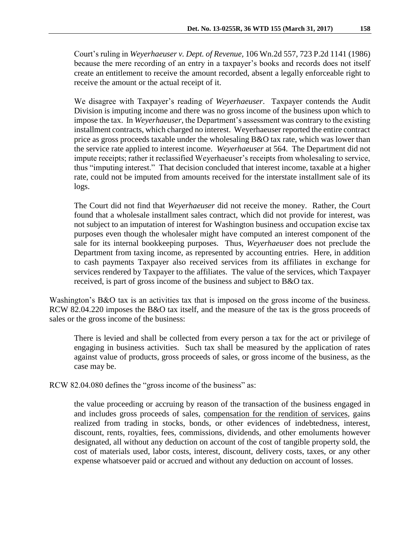Court's ruling in *Weyerhaeuser v. Dept. of Revenue,* 106 Wn.2d 557, 723 P.2d 1141 (1986) because the mere recording of an entry in a taxpayer's books and records does not itself create an entitlement to receive the amount recorded, absent a legally enforceable right to receive the amount or the actual receipt of it.

We disagree with Taxpayer's reading of *Weyerhaeuser*. Taxpayer contends the Audit Division is imputing income and there was no gross income of the business upon which to impose the tax. In *Weyerhaeuser*, the Department's assessment was contrary to the existing installment contracts, which charged no interest. Weyerhaeuser reported the entire contract price as gross proceeds taxable under the wholesaling B&O tax rate, which was lower than the service rate applied to interest income. *Weyerhaeuser* at 564. The Department did not impute receipts; rather it reclassified Weyerhaeuser's receipts from wholesaling to service, thus "imputing interest." That decision concluded that interest income, taxable at a higher rate, could not be imputed from amounts received for the interstate installment sale of its logs.

The Court did not find that *Weyerhaeuser* did not receive the money. Rather, the Court found that a wholesale installment sales contract, which did not provide for interest, was not subject to an imputation of interest for Washington business and occupation excise tax purposes even though the wholesaler might have computed an interest component of the sale for its internal bookkeeping purposes. Thus, *Weyerhaeuser* does not preclude the Department from taxing income, as represented by accounting entries. Here, in addition to cash payments Taxpayer also received services from its affiliates in exchange for services rendered by Taxpayer to the affiliates. The value of the services, which Taxpayer received, is part of gross income of the business and subject to B&O tax.

Washington's B&O tax is an activities tax that is imposed on the gross income of the business. RCW 82.04.220 imposes the B&O tax itself, and the measure of the tax is the gross proceeds of sales or the gross income of the business:

There is levied and shall be collected from every person a tax for the act or privilege of engaging in business activities. Such tax shall be measured by the application of rates against value of products, gross proceeds of sales, or gross income of the business, as the case may be.

RCW 82.04.080 defines the "gross income of the business" as:

the value proceeding or accruing by reason of the transaction of the business engaged in and includes gross proceeds of sales, compensation for the rendition of services, gains realized from trading in stocks, bonds, or other evidences of indebtedness, interest, discount, rents, royalties, fees, commissions, dividends, and other emoluments however designated, all without any deduction on account of the cost of tangible property sold, the cost of materials used, labor costs, interest, discount, delivery costs, taxes, or any other expense whatsoever paid or accrued and without any deduction on account of losses.